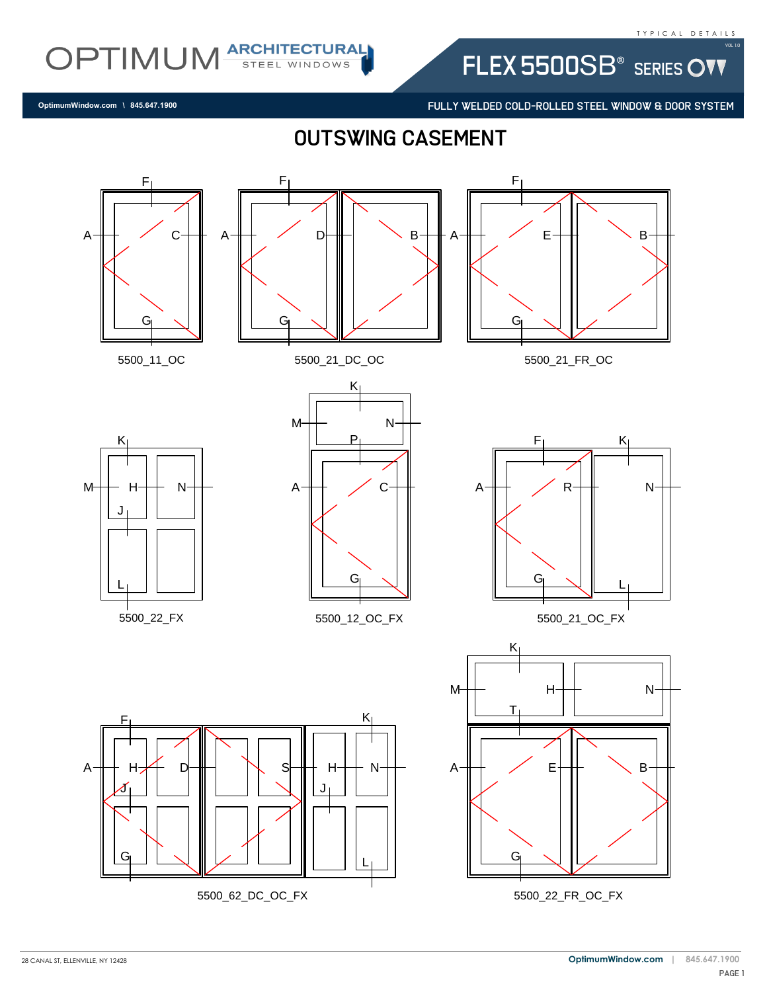FLEX 5500SB<sup>®</sup> SERIES OVV

FULLY WELDED COLD-ROLLED STEEL WINDOW & DOOR SYSTEM

**OptimumWindow.com \ 845.647.1900**

OPTIMUM ARCHITECTURAL

outswing casement

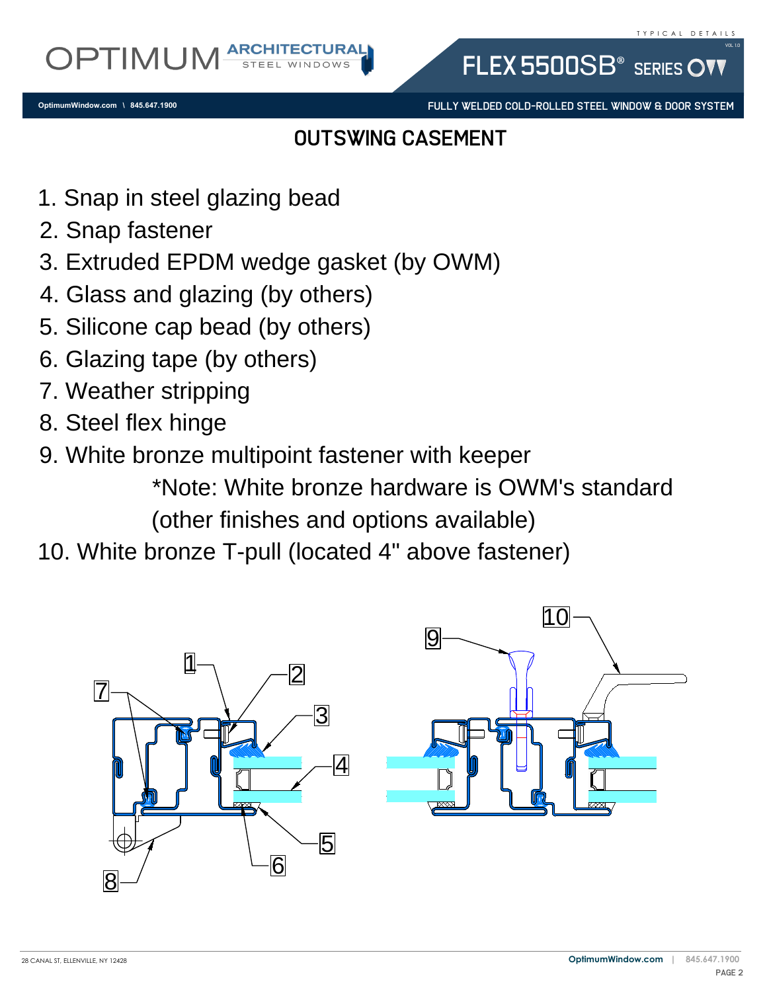**OptimumWindow.com \ 845.647.1900**

FULLY WELDED COLD-ROLLED STEEL WINDOW & DOOR SYSTEM

FLEX 5500SB<sup>®</sup> SERIES OV

## outswing casement

- 1. Snap in steel glazing bead<br>2. Snap fastener
- 
- 2. Snap rastener<br>3. Extruded EPDM wedge gasket (by OWM)<br>4. Glass and glazing (by others)<br>5. Silicone cap bead (by others)<br>6. Glazing tape (by others)<br>7. Weather stripping<br>8. Stool flox binge
- 4. Glass and glazing (by others)
- 1. Snap in steel glazing bead<br>2. Snap fastener<br>3. Extruded EPDM wedge ga<br>4. Glass and glazing (by othe<br>5. Silicone cap bead (by othe 5. Silicone cap bead (by others)
- 6. Glazing tape (by others)
- 7. Weather stripping
- 8. Steel flex hinge
- 9. White bronze multipoint fastener with keeper

\*Note: White bronze hardware is OWM's standard (other finishes and options available)

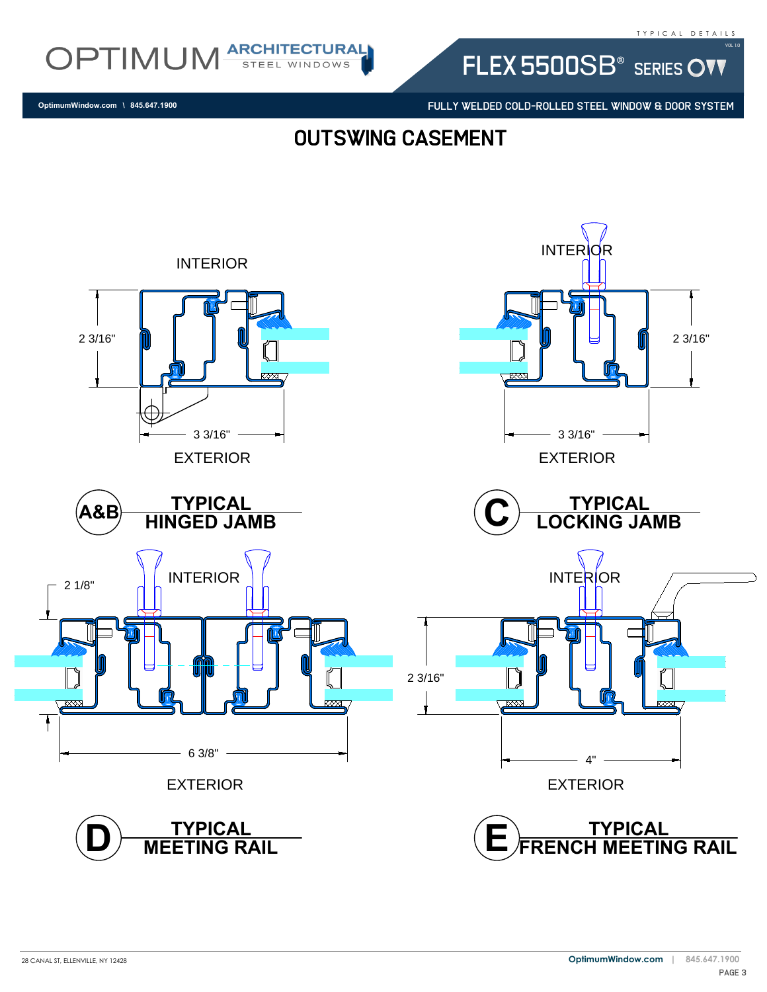FLEX 5500SB<sup>®</sup> SERIES OVV

FULLY WELDED COLD-ROLLED STEEL WINDOW & DOOR SYSTEM

**OptimumWindow.com \ 845.647.1900**

OPTIMUM ARCHITECTURAL

## outswing casement

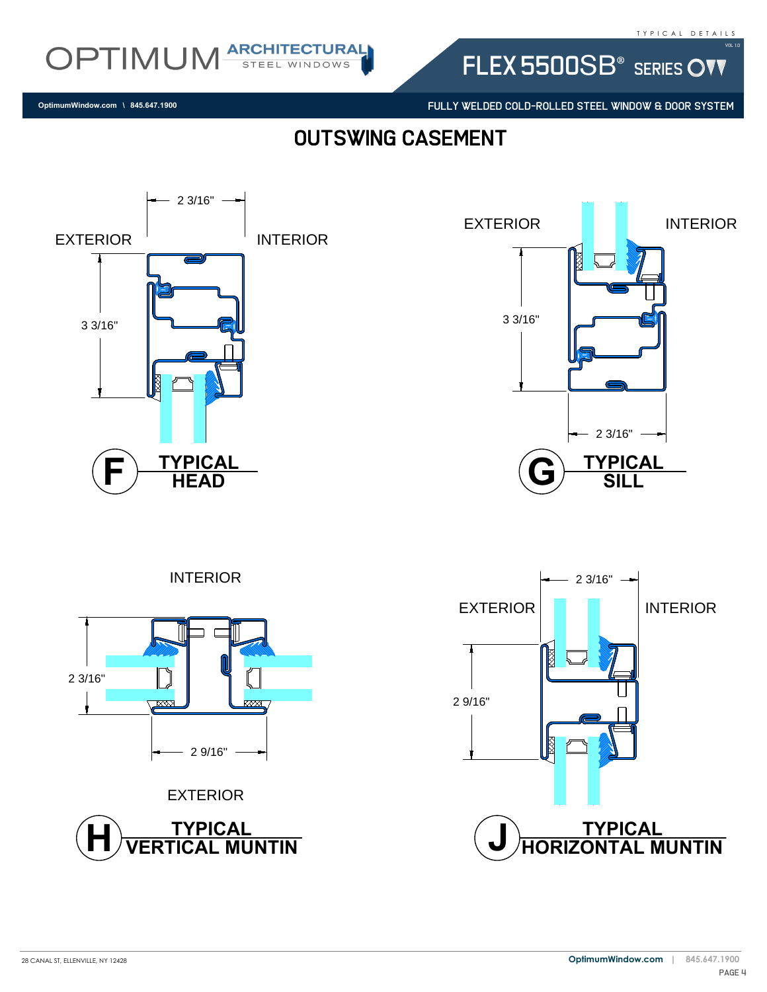FLEX 5500SB<sup>®</sup> SERIES OVV

FULLY WELDED COLD-ROLLED STEEL WINDOW & DOOR SYSTEM

## outswing casement



28 CANAL ST, ELLENVILLE, NY 12428

**OptimumWindow.com \ 845.647.1900**

OPTIMUM ARCHITECTURAL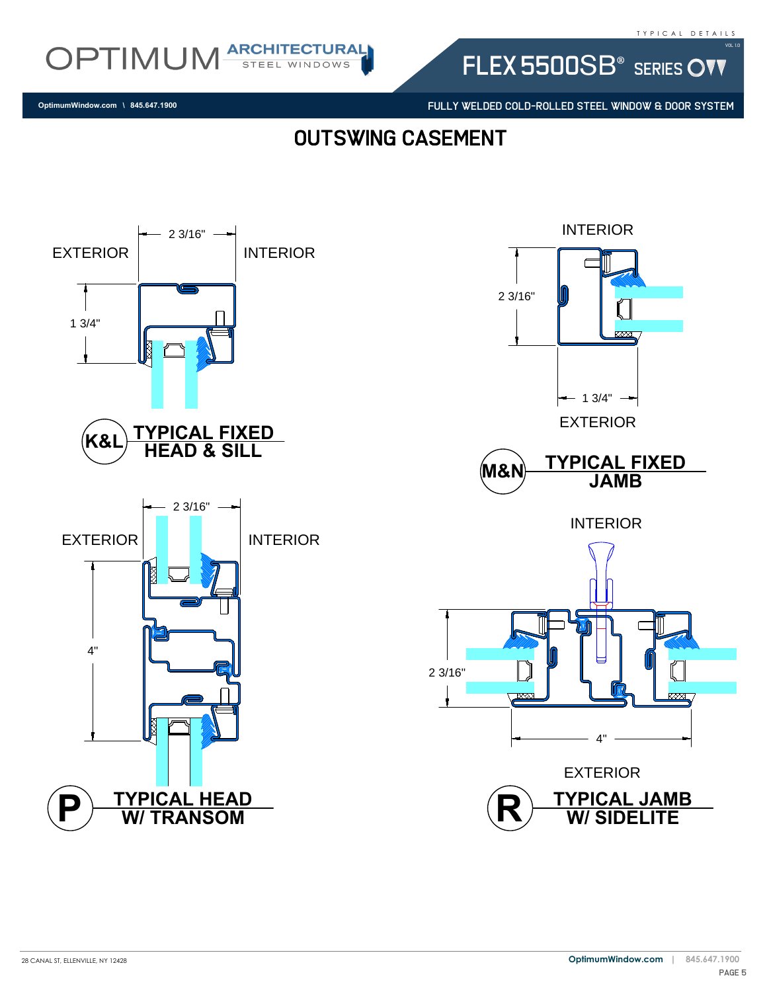

FLEX 5500SB<sup>®</sup> SERIES OVV

FULLY WELDED COLD-ROLLED STEEL WINDOW & DOOR SYSTEM

**OptimumWindow.com \ 845.647.1900**

outswing casement